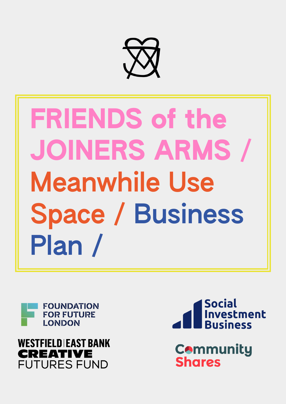

# FRIENDS of the JOINERS ARMS / Meanwhile Use Space / Business Plan /







**Community Shares**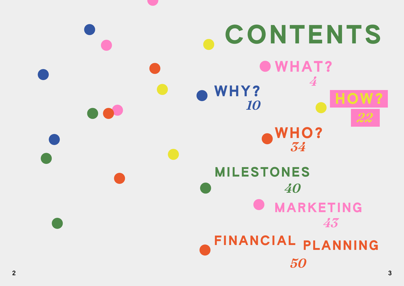

# *<sup>10</sup>* HOW? *4 22*

# MARKETING *43* PLANNING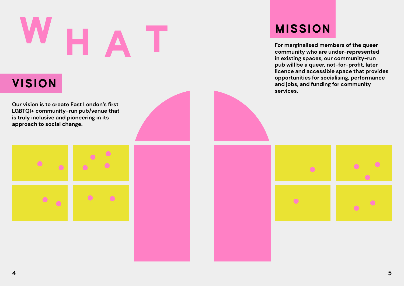**Our vision is to create East London's first LGBTQI+ community-run pub/venue that is truly inclusive and pioneering in its approach to social change.**





# H A T

VISION

# MISSION

 $\bullet$ 

**For marginalised members of the queer community who are under-represented in existing spaces, our community-run pub will be a queer, not-for-profit, later licence and accessible space that provides opportunities for socialising, performance and jobs, and funding for community services.**

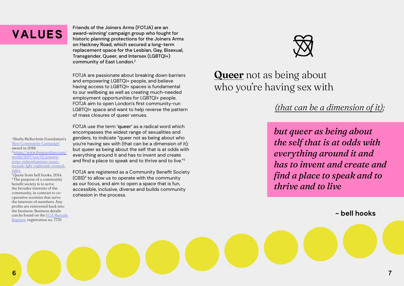Friends of the Joiners Arms (FOTJA) are an award-winning<sup>1</sup> campaign group who fought for historic planning protections for the Joiners Arms on Hackney Road, which secured a long-term replacement space for the Lesbian, Gay, Bisexual, Transgender, Queer, and Intersex (LGBTQI+) community of East London.2

FOTJA are passionate about breaking down barriers and empowering LGBTQI+ people, and believe having access to LGBTQI+ spaces is fundamental to our wellbeing as well as creating much-needed employment opportunities for LGBTQI+ people. FOTJA aim to open London's first community-run LGBTQI+ space and want to help reverse the pattern of mass closures of queer venues.

<sup>1</sup>Sheila McKechnie Foundation's ['Best Community Campaign'](https://www.gscene.com/news/friends-of-joiners-arms-win-best-community-campaign-award/) award in 2018. 2 [https://www.theguardian.com/](https://www.theguardian.com/world/2017/oct/12/joiners-arms-redevelopment-must-include-lgbt-nightclub-council-rules ) [world/2017/oct/12/joiners](https://www.theguardian.com/world/2017/oct/12/joiners-arms-redevelopment-must-include-lgbt-nightclub-council-rules )[arms-redevelopment-must](https://www.theguardian.com/world/2017/oct/12/joiners-arms-redevelopment-must-include-lgbt-nightclub-council-rules )[include-lgbt-nightclub-council](https://www.theguardian.com/world/2017/oct/12/joiners-arms-redevelopment-must-include-lgbt-nightclub-council-rules )[rules](https://www.theguardian.com/world/2017/oct/12/joiners-arms-redevelopment-must-include-lgbt-nightclub-council-rules ) 

FOTJA use the term 'queer' as a radical word which encompasses the widest range of sexualities and genders, to indicate "queer not as being about who you're having sex with (that can be a dimension of it); but queer as being about the self that is at odds with everything around it and has to invent and create and find a place to speak and to thrive and to live."<sup>3</sup>

# Queer not as being about who you're having sex with

FOTJA are registered as a Community Benefit Society (CBS)4 to allow us to operate with the community as our focus, and aim to open a space that is fun, accessible, inclusive, diverse and builds community cohesion in the process.



# VALUES

<sup>3</sup>Quote from bell hooks, 2014. 4 The purpose of a community benefit society is to serve the broader interests of the community, in contrast to cooperative societies that serve the interests of members. Any profits are reinvested back into the business. Business details can be found on the [FCA Mutuals](https://mutuals.fca.org.uk/)  [Register](https://mutuals.fca.org.uk/), registration no. 7735

# *but queer as being about the self that is at odds with everything around it and has to invent and create and find a place to speak and to thrive and to live*

# **- bell hooks**

# *(that can be a dimension of it);*

6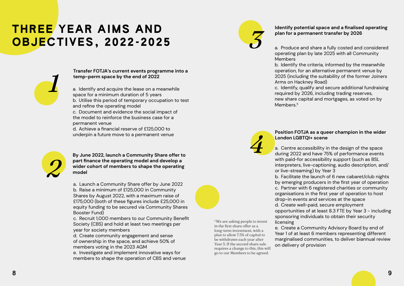# THREE YEAR AIMS AND OBJECTIVES, 2022-2025

## **Transfer FOTJA's current events programme into a temp-perm space by the end of 2022**

a. Identify and acquire the lease on a meanwhile space for a minimum duration of 5 years b. Utilise this period of temporary occupation to test and refine the operating model c. Document and evidence the social impact of the model to reinforce the business case for a permanent venue

d. Achieve a financial reserve of £125,000 to underpin a future move to a permanent venue

*1*



**By June 2022, launch a Community Share offer to part finance the operating model and develop a wider cohort of members to shape the operating model**

Members Arms on Hackney Road) Members.<sup>5</sup>

a. Launch a Community Share offer by June 2022 b. Raise a minimum of £125,000 in Community Shares by August 2022, with a maximum raise of £175,000 (both of these figures include £25,000 in equity funding to be secured via Community Shares Booster Fund)

c. Recruit 1,000 members to our Community Benefit Society (CBS) and hold at least two meetings per year for society members

d. Create community engagement and sense of ownership in the space, and achieve 50% of members voting in the 2023 AGM

e. Investigate and implement innovative ways for members to shape the operation of CBS and venue

## **Identify potential space and a finalised operating plan for a permanent transfer by 2026**

a. Produce and share a fully costed and considered operating plan by late 2025 with all Community

b. Identify the criteria, informed by the meanwhile operation, for an alternative permanent venue by 2025 (including the suitability of the former Joiners

c. Identify, qualify and secure additional fundraising required by 2026, including trading reserves,

new share capital and mortgages, as voted on by

5 We are asking people to invest in the first share offer as a long-term investment, with a plan to allow 7.5% of capital to be withdrawn each year after Year 5. If the second share sale requires a change to this, this will go to our Members to be agreed.



*4*

# **Position FOTJA as a queer champion in the wider London LGBTQI+ scene**

a. Centre accessibility in the design of the space during 2022 and have 75% of performance events with paid-for accessibility support (such as BSL interpreters, live-captioning, audio description, and/

b. Facilitate the launch of 6 new cabaret/club nights by emerging producers in the first year of operation c. Partner with 6 registered charities or community organisations in the first year of operation to host drop-in events and services at the space d. Create well-paid, secure employment opportunities of at least 8.3 FTE by Year 3 - including sponsoring individuals to obtain their security

or live-streaming) by Year 3 licensing on delivery of provision

e. Create a Community Advisory Board by end of Year 1 of at least 6 members representing different marginalised communities, to deliver biannual review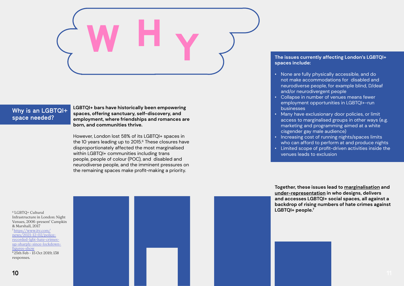# Why is an LGBTQI+ space needed?

**LGBTQI+ bars have historically been empowering spaces, offering sanctuary, self-discovery, and employment, where friendships and romances are born, and communities thrive.** 

However, London lost 58% of its LGBTQI+ spaces in the 10 years leading up to 2015.<sup>6</sup> These closures have disproportionately affected the most marginalised within LGBTQI+ communities including trans people, people of colour (POC), and disabled and neurodiverse people, and the imminent pressures on the remaining spaces make profit-making a priority.

# Y W H

6 'LGBTQ+ Cultural Infrastructure in London: Night Venues, 2006–present' Campkin & Marshall, 2017 7 [https://www.itv.com/](https://www.itv.com/news/2021-12-02/police-recorded-lgbt-hate-crimes-up-sharply-since-lockdown-figures-show) [news/2021-12-02/police](https://www.itv.com/news/2021-12-02/police-recorded-lgbt-hate-crimes-up-sharply-since-lockdown-figures-show)[recorded-lgbt-hate-crimes](https://www.itv.com/news/2021-12-02/police-recorded-lgbt-hate-crimes-up-sharply-since-lockdown-figures-show)[up-sharply-since-lockdown](https://www.itv.com/news/2021-12-02/police-recorded-lgbt-hate-crimes-up-sharply-since-lockdown-figures-show)[figures-show](https://www.itv.com/news/2021-12-02/police-recorded-lgbt-hate-crimes-up-sharply-since-lockdown-figures-show) 8 25th Feb - 15 Oct 2019; 138 responses.



# **The issues currently affecting London's LGBTQI+**

**spaces include:**

• None are fully physically accessible, and do not make accommodations for disabled and neurodiverse people, for example blind, D/deaf and/or neurodivergent people • Collapse in number of venues means fewer employment opportunities in LGBTQI+-run

- 
- businesses
- 
- 
- 

• Many have exclusionary door policies, or limit access to marginalised groups in other ways (e.g. marketing and programming aimed at a white cisgender gay male audience) • Increasing cost of running nights/spaces limits who can afford to perform at and produce nights • Limited scope of profit-driven activities inside the venues leads to exclusion

**Together, these issues lead to marginalisation and under-representation in who designs, delivers and accesses LGBTQI+ social spaces, all against a backdrop of rising numbers of hate crimes against LGBTQI+ people.7**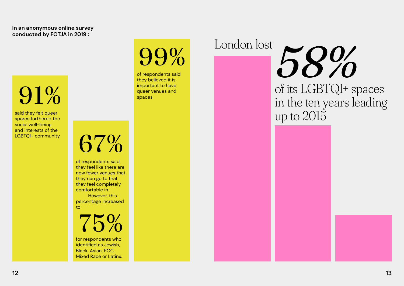of respondents said they believed it is important to have queer venues and spaces

of respondents said they feel like there are now fewer venues that they can go to that they feel completely comfortable in. However, this

percentage increased to

99%

91%

67%

said they felt queer spares furthered the social well-being and interests of the LGBTQI+ community

> for respondents who identified as Jewish, Black, Asian, POC, Mixed Race or Latinx.



# **In an anonymous online survey conducted by FOTJA in 2019 :**

# London lost

# of its LGBTQI+ spaces *58%* in the ten years leading up to 2015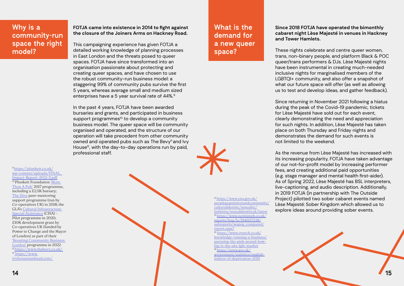

This campaigning experience has given FOTJA a detailed working knowledge of planning processes in East London and the threats posed to queer spaces. FOTJA have since transformed into an organisation passionate about protecting and creating queer spaces, and have chosen to use the robust community-run business model: a staggering 99% of community pubs survive the first 5 years, whereas average small and medium sized enterprises have a 5 year survival rate of 44%.<sup>9</sup>

## **FOTJA came into existence in 2014 to fight against the closure of the Joiners Arms on Hackney Road.**

In the past 4 years, FOTJA have been awarded bursaries and grants, and participated in business support programmes<sup>10</sup> to develop a community business model. The queer space will be community organised and operated, and the structure of our operation will take precedent from other community owned and operated pubs such as The Bevy<sup>11</sup> and Ivy House<sup>12</sup>, with the day-to-day operations run by paid, professional staff.

9 [https://plunkett.co.uk/](https://plunkett.co.uk/wp-content/uploads/FINAL_Impact-Report-2021-5.pdf) [wp-content/uploads/FINAL\\_](https://plunkett.co.uk/wp-content/uploads/FINAL_Impact-Report-2021-5.pdf) [Impact-Report-2021-5.pdf](https://plunkett.co.uk/wp-content/uploads/FINAL_Impact-Report-2021-5.pdf) <sup>10</sup> Plunkett Foundation 'More [Than A Pub'](https://plunkett.co.uk/more-than-a-pub/) 2017 programme, including a £2.5K bursary; [The Hive](https://www.uk.coop/start-new-co-op/start/support/about-the-hive) peer-mentoring support programme (run by Co-operatives UK) in 2018; the GLA's [Cultural Infrastructure](https://www.london.gov.uk/what-we-do/arts-and-culture/cultural-infrastructure-toolbox/culture-and-community-spaces-risk)  [Special Assistance](https://www.london.gov.uk/what-we-do/arts-and-culture/cultural-infrastructure-toolbox/culture-and-community-spaces-risk) (CISA) – Pilot programme in 2020; £10K development grant by Co-operatives UK (funded by Power to Change and the Mayor of London) as part of their ['Boosting Community Business](https://www.uk.coop/boosting-community-business-london/about-boosting-community-business-london)  [London'](https://www.uk.coop/boosting-community-business-london/about-boosting-community-business-london) programme in 2022 <sup>11</sup>[https://www.thebevy.co.uk/](https://www.thebevy.co.uk/ )  1[2 https://www.]( https://www.ivyhousenunhead.com/ ) [ivyhousenunhead.com/]( https://www.ivyhousenunhead.com/ ) 



# Why is a community-run space the right model?

## **Since 2018 FOTJA have operated the bimonthly cabaret night Lèse Majesté in venues in Hackney and Tower Hamlets.**

These nights celebrate and centre queer women, trans, non-binary people, and platform Black & POC queer/trans performers & DJs. Lèse Majesté nights have been instrumental in creating much-needed inclusive nights for marginalised members of the LGBTQI+ community, and also offer a snapshot of what our future space will offer (as well as allowing us to test and develop ideas, and gather feedback).

Since returning in November 2021 following a hiatus during the peak of the Covid-19 pandemic, tickets for Lèse Majesté have sold out for each event, clearly demonstrating the need and appreciation for such nights. In addition, Lèse Majesté has taken place on both Thursday and Friday nights and demonstrates the demand for such events is not limited to the weekend.

As the revenue from Lèse Majesté has increased with its increasing popularity, FOTJA have taken advantage of our not-for-profit model by increasing performer fees, and creating additional paid opportunities (e.g. stage manager and mental health first-aider). As of Spring 2022, Lèse Majesté has BSL interpreters, live-captioning, and audio description. Additionally, in 2019 FOTJA (in partnership with The Outside Project) pilotted two sober cabaret events named Lèse Majesté: Sober Kingdom which allowed us to explore ideas around providing sober events.

<sup>13</sup>[https://www.ons.gov.uk/](https://www.ons.gov.uk/peoplepopulationandcommunity/culturalidentity/sexuality/bulletins/sexualident)

[peoplepopulationandcommunity/](https://www.ons.gov.uk/peoplepopulationandcommunity/culturalidentity/sexuality/bulletins/sexualident)

[culturalidentity/sexuality/](https://www.ons.gov.uk/peoplepopulationandcommunity/culturalidentity/sexuality/bulletins/sexualident) [bulletins/sexualidentityuk/latest](https://www.ons.gov.uk/peoplepopulationandcommunity/culturalidentity/sexuality/bulletins/sexualident) <sup>14</sup>[https://www.nomisweb.co.uk/](https://www.nomisweb.co.uk/reports/lmp/la/1946157248/subreports/wapop_compared/report.aspx?) [reports/lmp/la/1946157248/](https://www.nomisweb.co.uk/reports/lmp/la/1946157248/subreports/wapop_compared/report.aspx?) [subreports/wapop\\_compared/](https://www.nomisweb.co.uk/reports/lmp/la/1946157248/subreports/wapop_compared/report.aspx?)

[report.aspx?](https://www.nomisweb.co.uk/reports/lmp/la/1946157248/subreports/wapop_compared/report.aspx?)

<sup>15</sup> [https://www.crunch.co.uk/](https://www.crunch.co.uk/knowledge-running-a-business/pursuing-the-pink-pound-how-big-is-the-uks-lgbt-market) [knowledge-running-a-business/](https://www.crunch.co.uk/knowledge-running-a-business/pursuing-the-pink-pound-how-big-is-the-uks-lgbt-market) [pursuing-the-pink-pound-how](https://www.crunch.co.uk/knowledge-running-a-business/pursuing-the-pink-pound-how-big-is-the-uks-lgbt-market)[big-is-the-uks-lgbt-market](https://www.crunch.co.uk/knowledge-running-a-business/pursuing-the-pink-pound-how-big-is-the-uks-lgbt-market) 16 [https://www.gov.uk/](https://www.gov.uk/government/statistics/english-indices-of-deprivation-2019)

[government/statistics/english](https://www.gov.uk/government/statistics/english-indices-of-deprivation-2019)[indices-of-deprivation-2019](https://www.gov.uk/government/statistics/english-indices-of-deprivation-2019)

# What is the demand for a new queer space?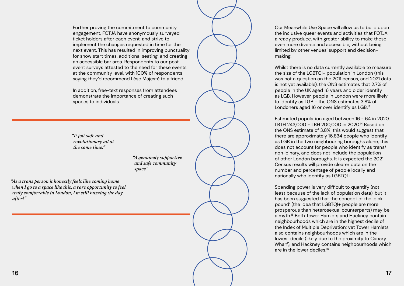Further proving the commitment to community engagement, FOTJA have anonymously surveyed ticket holders after each event, and strive to implement the changes requested in time for the next event. This has resulted in improving punctuality for show start times, additional seating, and creating an accessible bar area. Respondents to our postevent surveys attested to the need for these events at the community level, with 100% of respondents saying they'd recommend Lèse Majesté to a friend.

In addition, free-text responses from attendees demonstrate the importance of creating such spaces to individuals:

Whilst there is no data currently available to measure the size of the LGBTQI+ population in London (this was not a question on the 2011 census, and 2021 data is not yet available), the ONS estimates that 2.7% of people in the UK aged 16 years and older identify as LGB. However, people in London were more likely to identify as LGB - the ONS estimates 3.8% of Londoners aged 16 or over identify as LGB.<sup>13</sup>

*"As a trans person it honestly feels like coming home when I go to a space like this, a rare opportunity to feel truly comfortable in London, I'm still buzzing the day after!"*

16  $\overline{\phantom{a}}$  17

*"It felt safe and revolutionary all at the same time."*

> *"A genuinely supportive and safe community space"*

Our Meanwhile Use Space will allow us to build upon the inclusive queer events and activities that FOTJA already produce, with greater ability to make these even more diverse and accessible, without being limited by other venues' support and decision-

making.

Estimated population aged between 16 - 64 in 2020: LBTH 243,000 + LBH 200,000 in 2020.14 Based on the ONS estimate of 3.8%, this would suggest that there are approximately 16,834 people who identify as LGB in the two neighbouring boroughs alone; this does not account for people who identify as trans/ non-binary, and does not include the population of other London boroughs. It is expected the 2021 Census results will provide clearer data on the number and percentage of people locally and nationally who identify as LGBTQI+.

Spending power is very difficult to quantify (not least because of the lack of population data), but it has been suggested that the concept of the 'pink pound' (the idea that LGBTQI+ people are more prosperous than heterosexual counterparts) may be a myth.<sup>15</sup> Both Tower Hamlets and Hackney contain neighbourhoods which are in the highest decile of the Index of Multiple Deprivation; yet Tower Hamlets also contains neighbourhoods which are in the lowest decile (likely due to the proximity to Canary Wharf), and Hackney contains neighbourhoods which are in the lower deciles.16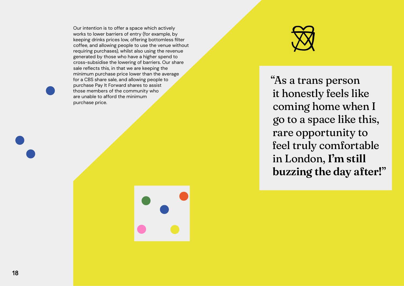Our intention is to offer a space which actively works to lower barriers of entry (for example, by keeping drinks prices low, offering bottomless filter coffee, and allowing people to use the venue without requiring purchases), whilst also using the revenue generated by those who have a higher spend to cross-subsidise the lowering of barriers. Our share sale reflects this, in that we are keeping the minimum purchase price lower than the average for a CBS share sale, and allowing people to purchase Pay It Forward shares to assist those members of the community who are unable to afford the minimum purchase price.



# "As a trans person it honestly feels like coming home when I go to a space like this, rare opportunity to feel truly comfortable in London, I'm still buzzing the day after!"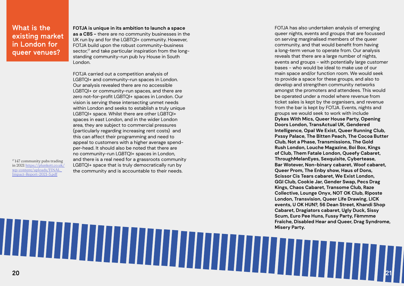<sup>17</sup>147 community pubs trading in 2021 https://plunkett.co.uk/ wp-content/uploads/FINAL\_ Impact-Report-2021-5.pdf

# What is the existing market in London for queer venues?

**FOTJA is unique in its ambition to launch a space as a CBS -** there are no community businesses in the UK run by and for the LGBTQI+ community. However, FOTJA build upon the robust community-business sector, $17$  and take particular inspiration from the longstanding community-run pub Ivy House in South London.

FOTJA carried out a competition analysis of LGBTQI+ and community-run spaces in London. Our analysis revealed there are no accessible LGBTQI+ or community-run spaces, and there are zero not-for-profit LGBTQI+ spaces in London. Our vision is serving these intersecting unmet needs within London and seeks to establish a truly unique LGBTQI+ space. Whilst there are other LGBTQI+ spaces in east London, and in the wider London area, they are subject to commercial pressures (particularly regarding increasing rent costs) and this can affect their programming and need to appeal to customers with a higher average spendper-head. It should also be noted that there are no community-run LGBTQI+ spaces in London, and there is a real need for a grassroots community LGBTQI+ space that is truly democratically run by the community and is accountable to their needs.

FOTJA has also undertaken analysis of emerging queer nights, events and groups that are focussed on serving marginalised members of the queer community, and that would benefit from having a long-term venue to operate from. Our analysis reveals that there are a large number of nights, events and groups - with potentially large customer bases - who would be ideal to make use of our main space and/or function room. We would seek to provide a space for these groups, and also to develop and strengthen community networks amongst the promoters and attendees. This would be operated under a model where revenue from ticket sales is kept by the organisers, and revenue from the bar is kept by FOTJA. Events, nights and groups we would seek to work with include **Dykes With Mics, Queer House Party, Opening Doors London, TransActual UK, Gendered Intelligence, Opal We Exist, Queer Running Club, Pxssy Palace, The Bitten Peach, The Cocoa Butter Club, Not a Phase, Transmissions, The Gold Rush London, Louche Magazine, Boi Box, Kings of Club, Them Fatale London, Queefy Cabaret, ThroughMelanEyes, Sexquisite, Cybertease, Bar Wotever, Non-binary cabaret, Woof cabaret, Queer Prom, The Enby show, Haus of Dons, Scissor Cis Tears cabaret, We Exist London, GGI Club, Cookie Jar, Gender Swap, Pecs Drag Kings, Chaos Cabaret, Transome Club, Raze Collective, Lounge Onyx, NOT OK Club, Riposte London, Transvision, Queer Life Drawing, LICK events, U OK HUN?, 56 Dean Street, Khandi Shop Cabaret, Dragiators cabaret, Ugly Duck, Sissy Scum, Euro Pee Huns, Fussy Party, Fèmmme Fraîche, Disabled Hear and Queer, Drag Syndrome, Misery Party.**

# 21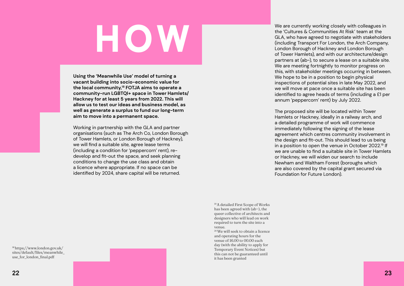# HOW

**Using the 'Meanwhile Use' model of turning a vacant building into socio-economic value for the local community,18 FOTJA aims to operate a community-run LGBTQI+ space in Tower Hamlets/ Hackney for at least 5 years from 2022. This will allow us to test our ideas and business model, as well as generate a surplus to fund our long-term aim to move into a permanent space.**

Working in partnership with the GLA and partner organisations (such as The Arch Co, London Borough of Tower Hamlets, or London Borough of Hackney), we will find a suitable site, agree lease terms (including a condition for 'peppercorn' rent), redevelop and fit-out the space, and seek planning conditions to change the use class and obtain a licence where appropriate. If no space can be identified by 2024, share capital will be returned.

18 https://www.london.gov.uk/ sites/default/files/meanwhile\_ use\_for\_london\_final.pdf

19 A detailed First Scope of Works has been agreed with (ab~), the queer collective of architects and designers who will lead on work required to turn the site into a venue.

20 We will seek to obtain a licence and operating hours for the venue of 16.00 to 00.00 each day (with the ability to apply for Temporary Event Notices) but this can not be guaranteed until it has been granted

We are currently working closely with colleagues in the 'Cultures & Communities At Risk' team at the GLA, who have agreed to negotiate with stakeholders (including Transport For London, the Arch Company, London Borough of Hackney and London Borough of Tower Hamlets), and with our architecture/design partners at (ab~), to secure a lease on a suitable site. We are meeting fortnightly to monitor progress on this, with stakeholder meetings occurring in between. We hope to be in a position to begin physical inspections of potential sites in late May 2022, and we will move at pace once a suitable site has been identified to agree heads of terms (including a £1 per annum 'peppercorn' rent) by July 2022.

The proposed site will be located within Tower Hamlets or Hackney, ideally in a railway arch, and a detailed programme of work will commence immediately following the signing of the lease agreement which centres community involvement in the design and fit-out. This should lead to us being in a position to open the venue in October 2022.<sup>19</sup> If we are unable to find a suitable site in Tower Hamlets or Hackney, we will widen our search to include Newham and Waltham Forest (boroughs which are also covered by the capital grant secured via Foundation for Future London).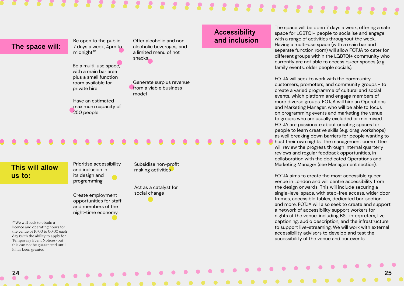24 25

Be open to the public 7 days a week, 4pm to  $mid^{20}$ 

# 

# The space will:

Be a multi-use space, with a main bar area plus a small function room available for private hire

Offer alcoholic and nonalcoholic beverages, and a limited menu of hot snacks

Have an estimated maximum capacity of 250 people

Generate surplus revenue from a viable business model

# This will allow us to:

Prioritise accessibility and inclusion in its design and programming

Subsidise non-profit making activities

Create employment opportunities for staff and members of the night-time economy

Act as a catalyst for social change

20 We will seek to obtain a licence and operating hours for the venue of 16.00 to 00.00 each day (with the ability to apply for Temporary Event Notices) but this can not be guaranteed until it has been granted

# Accessibility and inclusion

The space will be open 7 days a week, offering a safe space for LGBTQI+ people to socialise and engage with a range of activities throughout the week. Having a multi-use space (with a main bar and separate function room) will allow FOTJA to cater for different groups within the LGBTQI+ community who currently are not able to access queer spaces (e.g. family events, older people socials).

FOTJA will seek to work with the community customers, promoters, and community groups - to create a varied programme of cultural and social events, which platform and engage members of more diverse groups. FOTJA will hire an Operations and Marketing Manager, who will be able to focus on programming events and marketing the venue to groups who are usually excluded or minimised. FOTJA are passionate about creating spaces for people to learn creative skills (e.g. drag workshops) as well breaking down barriers for people wanting to host their own nights. The management committee will review the progress through internal quarterly reviews and regular feedback opportunities, in collaboration with the dedicated Operations and Marketing Manager (see Management section).

FOTJA aims to create the most accessible queer venue in London and will centre accessibility from the design onwards. This will include securing a single-level space, with step-free access, wider door frames, accessible tables, dedicated bar-section, and more. FOTJA will also seek to create and support a network of accessibility support workers for nights at the venue, including BSL interpreters, livecaptioning, audio description, and the infrastructure to support live-streaming. We will work with external accessibility advisors to develop and test the accessibility of the venue and our events.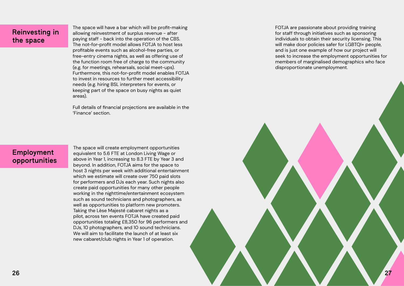# Reinvesting in the space

The space will have a bar which will be profit-making allowing reinvestment of surplus revenue - after paying staff - back into the operation of the CBS. The not-for-profit model allows FOTJA to host less profitable events such as alcohol-free parties, or free-entry cinema nights, as well as offering use of the function room free of charge to the community (e.g. for meetings, rehearsals, social meet-ups). Furthermore, this not-for-profit model enables FOTJA to invest in resources to further meet accessibility needs (e.g. hiring BSL interpreters for events, or keeping part of the space on busy nights as quiet areas).

Full details of financial projections are available in the 'Finance' section.

The space will create employment opportunities equivalent to 5.6 FTE at London Living Wage or above in Year 1, increasing to 8.3 FTE by Year 3 and beyond. In addition, FOTJA aims for the space to host 3 nights per week with additional entertainment which we estimate will create over 750 paid slots for performers and DJs each year. Such nights also create paid opportunities for many other people working in the nighttime/entertainment ecosystem such as sound technicians and photographers, as well as opportunities to platform new promoters. Taking the Lèse Majesté cabaret nights as a pilot, across ten events FOTJA have created paid opportunities totaling £8,350 for 96 performers and DJs, 10 photographers, and 10 sound technicians. We will aim to facilitate the launch of at least six new cabaret/club nights in Year 1 of operation.



# Employment opportunities

FOTJA are passionate about providing training for staff through initiatives such as sponsoring individuals to obtain their security licensing. This will make door policies safer for LGBTQI+ people, and is just one example of how our project will seek to increase the employment opportunities for members of marginalised demographics who face disproportionate unemployment.

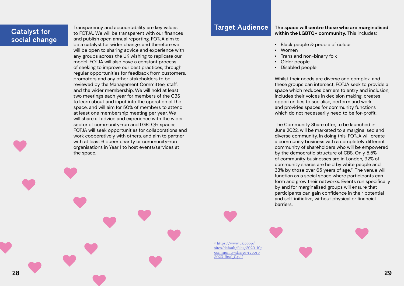Transparency and accountability are key values to FOTJA. We will be transparent with our finances and publish open annual reporting. FOTJA aim to be a catalyst for wider change, and therefore we will be open to sharing advice and experience with any groups across the UK wishing to replicate our model. FOTJA will also have a constant process of seeking to improve our best practices, through regular opportunities for feedback from customers, promoters and any other stakeholders to be reviewed by the Management Committee, staff, and the wider membership. We will hold at least two meetings each year for members of the CBS to learn about and input into the operation of the space, and will aim for 50% of members to attend at least one membership meeting per year. We will share all advice and experience with the wider sector of community-run and LGBTQI+ spaces. FOTJA will seek opportunities for collaborations and work cooperatively with others, and aim to partner with at least 6 queer charity or community-run organisations in Year 1 to host events/services at the space.

# Catalyst for social change

## **The space will centre those who are marginalised within the LGBTQ+ community.** This includes:

• Black people & people of colour

• Trans and non-binary folk



- 
- Women
- 
- Older people
- Disabled people

Whilst their needs are diverse and complex, and these groups can intersect, FOTJA seek to provide a space which reduces barriers to entry and inclusion, includes their voices in decision making, creates opportunities to socialise, perform and work, and provides spaces for community functions which do not necessarily need to be for-profit.

The Community Share offer, to be launched in June 2022, will be marketed to a marginalised and diverse community. In doing this, FOTJA will create a community business with a completely different community of shareholders who will be empowered by the democratic structure of CBS. Only 5.5% of community businesses are in London, 92% of community shares are held by white people and 33% by those over 65 years of age. $21$  The venue will function as a social space where participants can form and grow their networks. Events run specifically by and for marginalised groups will ensure that participants can gain confidence in their potential and self-initiative, without physical or financial barriers.

# Target Audience

21 [https://www.uk.coop/](https://www.uk.coop/sites/default/files/2020-10/community-shares-report-2020-final_0.pdf) [sites/default/files/2020-10/](https://www.uk.coop/sites/default/files/2020-10/community-shares-report-2020-final_0.pdf) [community-shares-report-](https://www.uk.coop/sites/default/files/2020-10/community-shares-report-2020-final_0.pdf)[2020-final\\_0.pdf](https://www.uk.coop/sites/default/files/2020-10/community-shares-report-2020-final_0.pdf)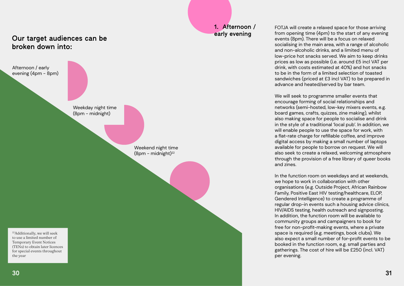# Our target audiences can be broken down into:

22Additionally, we will seek to use a limited number of Temporary Event Notices (TENs) to obtain later licences for special events throughout the year

Weekend night time  $(8pm - midnight)^{22}$ 

Afternoon / early

evening (4pm - 8pm)



1. Afternoon / early evening

FOTJA will create a relaxed space for those arriving from opening time (4pm) to the start of any evening events (8pm). There will be a focus on relaxed socialising in the main area, with a range of alcoholic and non-alcoholic drinks, and a limited menu of low-price hot snacks served. We aim to keep drinks prices as low as possible (i.e. around £5 incl VAT per drink, with costs estimated at 40%) and hot snacks to be in the form of a limited selection of toasted sandwiches (priced at £3 incl VAT) to be prepared in advance and heated/served by bar team.

We will seek to programme smaller events that encourage forming of social relationships and networks (semi-hosted, low-key mixers events, e.g. board games, crafts, quizzes, zine making), whilst also making space for people to socialise and drink in the style of a traditional 'local pub'. In addition, we will enable people to use the space for work, with a flat-rate charge for refillable coffee, and improve digital access by making a small number of laptops available for people to borrow on request. We will also seek to create a relaxed, welcoming atmosphere through the provision of a free library of queer books and zines.

In the function room on weekdays and at weekends, we hope to work in collaboration with other organisations (e.g. Outside Project, African Rainbow Family, Positive East HIV testing/healthcare, ELOP, Gendered Intelligence) to create a programme of regular drop-in events such a housing advice clinics, HIV/AIDS testing, health outreach and signposting. In addition, the function room will be available to community groups and campaigners to book for free for non-profit-making events, where a private space is required (e.g. meetings, book clubs). We also expect a small number of for-profit events to be booked in the function room, e.g. small parties and gatherings. The cost of hire will be £250 (incl. VAT) per evening.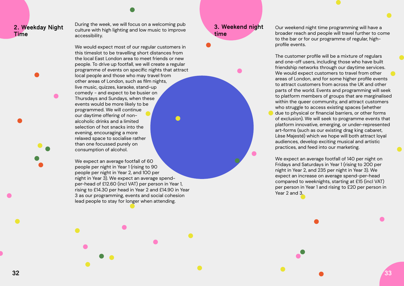# 2. Weekday Night Time

During the week, we will focus on a welcoming pub culture with high lighting and low music to improve accessibility.

We would expect most of our regular customers in this timeslot to be travelling short distances from the local East London area to meet friends or new people. To drive up footfall, we will create a regular programme of events on specific nights that attract local people and those who may travel from other areas of London, such as film nights, live music, quizzes, karaoke, stand-up comedy - and expect to be busier on Thursdays and Sundays, when these events would be more likely to be programmed. We will continue our daytime offering of nonalcoholic drinks and a limited selection of hot snacks into the evening, encouraging a more relaxed space to socialise rather than one focussed purely on consumption of alcohol.

We expect an average footfall of 60 people per night in Year 1 (rising to 90 people per night in Year 2, and 100 per night in Year 3). We expect an average spendper-head of £12.60 (incl VAT) per person in Year 1, rising to £14.30 per head in Year 2 and £14.90 in Year 3 as our programming, events and social cohesion lead people to stay for longer when attending.

# 3. Weekend night time

 $\bullet$ 

Our weekend night time programming will have a broader reach and people will travel further to come to the bar or for our programme of regular, high-

profile events.

The customer profile will be a mixture of regulars and one-off users, including those who have built friendship networks through our daytime services. We would expect customers to travel from other areas of London, and for some higher profile events to attract customers from across the UK and other parts of the world. Events and programming will seek to platform members of groups that are marginalised within the queer community, and attract customers who struggle to access existing spaces (whether due to physical or financial barriers, or other forms of exclusion). We will seek to programme events that platform innovative, emerging, or under-represented art-forms (such as our existing drag king cabaret, Lèse Majesté) which we hope will both attract loyal audiences, develop exciting musical and artistic practices, and feed into our marketing.

We expect an average footfall of 140 per night on Fridays and Saturdays in Year 1 (rising to 200 per night in Year 2, and 235 per night in Year 3). We expect an increase on average spend-per-head compared to weeknights, starting at £15 (incl VAT) per person in Year 1 and rising to £20 per person in Year 2 and 3.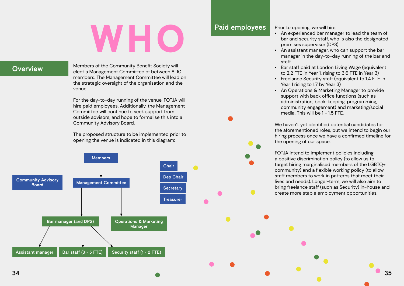

# WHO

# **Overview**

Members of the Community Benefit Society will elect a Management Committee of between 8-10 members. The Management Committee will lead on the strategic oversight of the organisation and the venue.

For the day-to-day running of the venue, FOTJA will hire paid employees. Additionally, the Management Committee will continue to seek support from outside advisors, and hope to formalise this into a Community Advisory Board.

• Bar staff paid at London Living Wage (equivalent to 2.2 FTE in Year 1, rising to 3.6 FTE in Year 3) • Freelance Security staff (equivalent to 1.4 FTE in Year 1 rising to 1.7 by Year 3)

The proposed structure to be implemented prior to opening the venue is indicated in this diagram:

Prior to opening, we will hire:

• An experienced bar manager to lead the team of bar and security staff, who is also the designated premises supervisor (DPS)

• An assistant manager, who can support the bar manager in the day-to-day running of the bar and

- 
- staff
- 
- 
- 

• An Operations & Marketing Manager to provide support with back office functions (such as administration, book-keeping, programming, community engagement) and marketing/social media. This will be 1 - 1.5 FTE.

We haven't yet identified potential candidates for the aforementioned roles, but we intend to begin our hiring process once we have a confirmed timeline for the opening of our space.

FOTJA intend to implement policies including a positive discrimination policy (to allow us to target hiring marginalised members of the LGBTQ+ community) and a flexible working policy (to allow staff members to work in patterns that meet their lives and needs). Longer-term, we will also aim to bring freelance staff (such as Security) in-house and create more stable employment opportunities.

# Paid employees

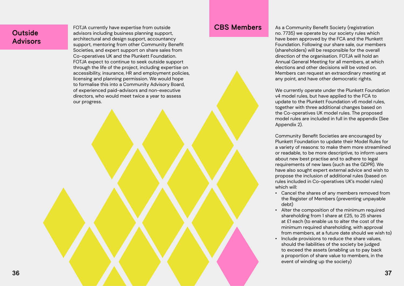# **Outside** Advisors

FOTJA currently have expertise from outside advisors including business planning support, architectural and design support, accountancy support, mentoring from other Community Benefit Societies, and expert support on share sales from Co-operatives UK and the Plunkett Foundation. FOTJA expect to continue to seek outside support through the life of the project, including expertise on accessibility, insurance, HR and employment policies, licensing and planning permission. We would hope to formalise this into a Community Advisory Board, of experienced paid-advisors and non-executive directors, who would meet twice a year to assess our progress.

CBS Members As a Community Benefit Society (registration no. 7735) we operate by our society rules which have been approved by the FCA and the Plunkett Foundation. Following our share sale, our members (shareholders) will be responsible for the overall direction of the organisation. FOTJA will hold an Annual General Meeting for all members, at which elections and other decisions will be voted on. Members can request an extraordinary meeting at any point, and have other democratic rights.

> We currently operate under the Plunkett Foundation v4 model rules, but have applied to the FCA to update to the Plunkett Foundation v6 model rules, together with three additional changes based on the Co-operatives UK model rules. The proposed model rules are included in full in the appendix (See Appendix 2).

> Community Benefit Societies are encouraged by Plunkett Foundation to update their Model Rules for a variety of reasons: to make them more streamlined or readable, to be more descriptive, to inform users about new best practise and to adhere to legal requirements of new laws (such as the GDPR). We have also sought expert external advice and wish to propose the inclusion of additional rules (based on rules included in Co-operatives UK's model rules) which will:

> • Cancel the shares of any members removed from the Register of Members (preventing unpayable

- debt)
- 
- 

• Alter the composition of the minimum required shareholding from 1 share at £25, to 25 shares at £1 each (to enable us to alter the cost of the minimum required shareholding, with approval from members, at a future date should we wish to) • Include provisions to reduce the share values, should the liabilities of the society be judged to exceed the assets (enabling us to pay back a proportion of share value to members, in the event of winding up the society)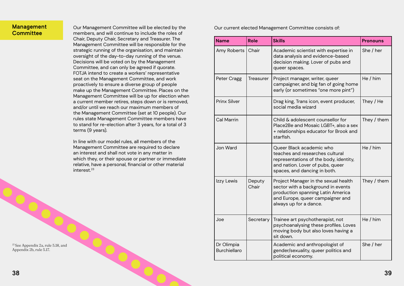# Management **Committee**

Our Management Committee will be elected by the members, and will continue to include the roles of Chair, Deputy Chair, Secretary and Treasurer. The Management Committee will be responsible for the strategic running of the organisation, and maintain oversight of the day-to-day running of the venue. Decisions will be voted on by the Management Committee, and can only be agreed if quorate. FOTJA intend to create a workers' representative seat on the Management Committee, and work proactively to ensure a diverse group of people make up the Management Committee. Places on the Management Committee will be up for election when a current member retires, steps down or is removed, and/or until we reach our maximum members of the Management Committee (set at 10 people). Our rules state Management Committee members have to stand for re-election after 3 years, for a total of 3 terms (9 years).

In line with our model rules, all members of the Management Committee are required to declare an interest and shall not vote in any matter in which they, or their spouse or partner or immediate relative, have a personal, financial or other material interest.<sup>23</sup>

23 See Appendix 2a, rule 5.18, and Appendix 2b, rule 5.17.

Our current elected Management Committee consists of:

| <b>Name</b>                       | <b>Role</b>      | <b>Skills</b>                                                                                                                                                                 | <b>Pronouns</b> |
|-----------------------------------|------------------|-------------------------------------------------------------------------------------------------------------------------------------------------------------------------------|-----------------|
| Amy Roberts                       | Chair            | Academic scientist with expertise in<br>data analysis and evidence-based<br>decision making. Lover of pubs and<br>queer spaces.                                               | She / her       |
| Peter Cragg                       | <b>Treasurer</b> | Project manager, writer, queer<br>campaigner, and big fan of going home<br>early (or sometimes "one more pint")                                                               | He/him          |
| <b>Prinx Silver</b>               |                  | Drag king, Trans icon, event producer,<br>social media wizard                                                                                                                 | They / He       |
| <b>Cal Marrin</b>                 |                  | Child & adolescent counsellor for<br>Place2Be and Mosaic LGBT+, also a sex<br>+ relationships educator for Brook and<br>starfish.                                             | They / them     |
| Jon Ward                          |                  | Queer Black academic who<br>teaches and researches cultural<br>representations of the body, identity,<br>and nation. Lover of pubs, queer<br>spaces, and dancing in both.     | He/him          |
| Izzy Lewis                        | Deputy<br>Chair  | Project Manager in the sexual health<br>sector with a background in events<br>production spanning Latin America<br>and Europe, queer campaigner and<br>always up for a dance. | They / them     |
| Joe                               | Secretary        | Trainee art psychotherapist, not<br>psychoanalysing these profiles. Loves<br>moving body but also loves having a<br>sit down.                                                 | He/him          |
| Dr Olimpia<br><b>Burchiellaro</b> |                  | Academic and anthropologist of<br>gender/sexuality, queer politics and<br>political economy.                                                                                  | She / her       |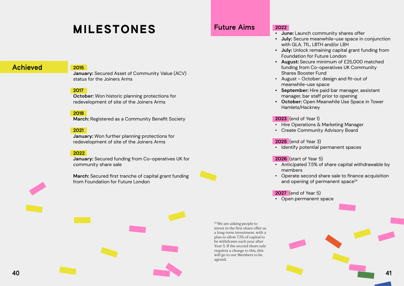

# MILESTONES

# Achieved 2015

**January:** Secured Asset of Community Value (ACV) status for the Joiners Arms

# **2017**

**October:** Won historic planning protections for redevelopment of site of the Joiners Arms

# **2018**

**March:** Registered as a Community Benefit Society

## **2021**

**January:** Won further planning protections for redevelopment of site of the Joiners Arms

## **2022**

**January:** Secured funding from Co-operatives UK for community share sale

**March:** Secured first tranche of capital grant funding from Foundation for Future London



## **2022**

• Operate second share sale to finance acquisition and opening of permanent space<sup>24</sup>

**• June:** Launch community shares offer **• July:** Secure meanwhile-use space in conjunction with GLA, TfL, LBTH and/or LBH **• July:** Unlock remaining capital grant funding from Foundation for Future London **• August:** Secure minimum of £25,000 matched funding from Co-operatives UK Community • August - October: design and fit-out of meanwhile-use space **• September:** Hire paid bar manager, assistant manager, bar staff prior to opening **• October:** Open Meanwhile Use Space in Tower

<sup>24</sup> We are asking people to invest in the first share offer as a long-term investment, with a plan to allow 7.5% of capital to be withdrawn each year after Year 5. If the second share sale requires a change to this, this will go to our Members to be agreed.





- 
- 
- 
- Shares Booster Fund
- 
- 
- Hamlets/Hackney

## **2023** (end of Year 1)

- 
- 
- 

• Hire Operations & Marketing Manager • Create Community Advisory Board

**2025** (end of Year 3) • Identify potential permanent spaces

## **2026** (start of Year 5)

• Anticipated 7.5% of share capital withdrawable by

- members
- 

# **2027** (end of Year 5)

• Open permanent space

# Future Aims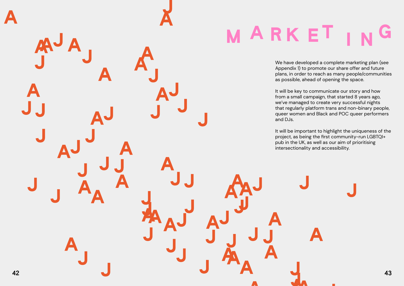# G

We have developed a complete marketing plan (see Appendix 1) to promote our share offer and future plans, in order to reach as many people/communities as possible, ahead of opening the space.

It will be key to communicate our story and how from a small campaign, that started 8 years ago, we've managed to create very successful nights that regularly platform trans and non-binary people, queer women and Black and POC queer performers



It will be important to highlight the uniqueness of the project, as being the first community-run LGBTQI+ pub in the UK, as well as our aim of prioritising intersectionality and accessibility.





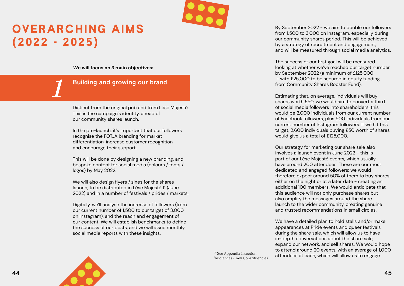



# OVERARCHING AIMS (2022 - 2025)

# Building and growing our brand

**We will focus on 3 main objectives:**

Distinct from the original pub and from Lèse Majesté. This is the campaign's identity, ahead of our community shares launch.

In the pre-launch, it's important that our followers recognise the FOTJA branding for market differentiation, increase customer recognition and encourage their support.

This will be done by designing a new branding, and bespoke content for social media (colours / fonts / logos) by May 2022.

We will also design flyers / zines for the shares launch, to be distributed in Lèse Majesté 11 (June 2022) and in a number of festivals / prides / markets.

By September 2022 - we aim to double our followers from 1,500 to 3,000 on Instagram, especially during our community shares period. This will be achieved by a strategy of recruitment and engagement, and will be measured through social media analytics.

Digitally, we'll analyse the increase of followers (from our current number of 1,500 to our target of 3,000 on Instagram), and the reach and engagement of our content. We will establish benchmarks to define the success of our posts, and we will issue monthly social media reports with these insights.

# *1*

25 See Appendix 1, section 'Audiences - Key Constituencies' The success of our first goal will be measured looking at whether we've reached our target number by September 2022 (a minimum of £125,000 - with £25,000 to be secured in equity funding from Community Shares Booster Fund).

Estimating that, on average, individuals will buy shares worth £50, we would aim to convert a third of social media followers into shareholders: this would be 2,000 individuals from our current number of Facebook followers, plus 500 individuals from our current number of Instagram followers. If we hit this target, 2,600 individuals buying £50 worth of shares would give us a total of £125,000.

Our strategy for marketing our share sale also involves a launch event in June 2022 - this is part of our Lèse Majesté events, which usually have around 200 attendees. These are our most dedicated and engaged followers; we would therefore expect around 50% of them to buy shares either on the night or at a later date - creating an additional 100 members. We would anticipate that this audience will not only purchase shares but also amplify the messages around the share launch to the wider community, creating genuine and trusted recommendations in small circles.

We have a detailed plan to hold stalls and/or make appearances at Pride events and queer festivals during the share sale, which will allow us to have in-depth conversations about the share sale, expand our network, and sell shares. We would hope to attend around 20 events, with an average of 1,000 attendees at each, which will allow us to engage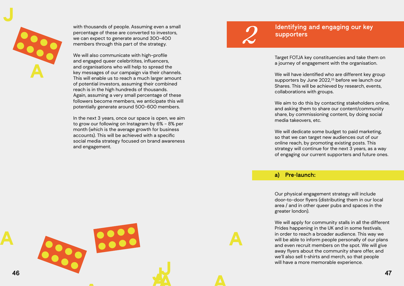



with thousands of people. Assuming even a small percentage of these are converted to investors, we can expect to generate around 300-400 members through this part of the strategy.

We will also communicate with high-profile and engaged queer celebritites, influencers, and organisations who will help to spread the key messages of our campaign via their channels. This will enable us to reach a much larger amount of potential investors, assuming their combined reach is in the high hundreds of thousands. Again, assuming a very small percentage of these followers become members, we anticipate this will potentially generate around 500-600 members.

In the next 3 years, once our space is open, we aim to grow our following on Instagram by 6% - 8% per month (which is the average growth for business accounts). This will be achieved with a specific social media strategy focused on brand awareness and engagement.

# Identifying and engaging our key

supporters

# a) Pre-launch:

Target FOTJA key constituencies and take them on a journey of engagement with the organisation.

We will have identified who are different key group supporters by June 2022,<sup>25</sup> before we launch our Shares. This will be achieved by research, events, collaborations with groups.

We aim to do this by contacting stakeholders online, and asking them to share our content/community share, by commissioning content, by doing social media takeovers, etc.

We will dedicate some budget to paid marketing, so that we can target new audiences out of our online reach, by promoting existing posts. This strategy will continue for the next 3 years, as a way of engaging our current supporters and future ones.

# *2*

Our physical engagement strategy will include door-to-door flyers (distributing them in our local area / and in other queer pubs and spaces in the greater london).

We will apply for community stalls in all the different Prides happening in the UK and in some festivals, in order to reach a broader audience. This way we will be able to inform people personally of our plans and even recruit members on the spot. We will give away flyers about the community share offer, and we'll also sell t-shirts and merch, so that people will have a more memorable experience.

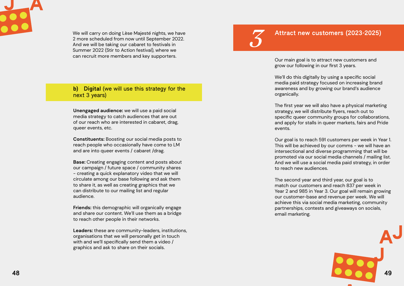



We will carry on doing Lèse Majesté nights, we have 2 more scheduled from now until September 2022. And we will be taking our cabaret to festivals in Summer 2022 (Stir to Action festival), where we can recruit more members and key supporters.

**Unengaged audience:** we will use a paid social media strategy to catch audiences that are out of our reach who are interested in cabaret, drag, queer events, etc.

**Constituents:** Boosting our social media posts to reach people who occasionally have come to LM and are into queer events / cabaret /drag.

**Base:** Creating engaging content and posts about our campaign / future space / community shares - creating a quick explanatory video that we will circulate among our base following and ask them to share it, as well as creating graphics that we can distribute to our mailing list and regular audience.

**Friends:** this demographic will organically engage and share our content. We'll use them as a bridge to reach other people in their networks.

**Leaders:** these are community-leaders, institutions, organisations that we will personally get in touch with and we'll specifically send them a video / graphics and ask to share on their socials.

# b) Digital (we will use this strategy for the next 3 years)

# Attract new customers (2023-2025)

# *3*

Our main goal is to attract new customers and grow our following in our first 3 years.

We'll do this digitally by using a specific social media paid strategy focused on increasing brand awareness and by growing our brand's audience organically.

The first year we will also have a physical marketing strategy, we will distribute flyers, reach out to specific queer community groups for collaborations, and apply for stalls in queer markets, fairs and Pride events.

Our goal is to reach 591 customers per week in Year 1. This will be achieved by our comms - we will have an intersectional and diverse programming that will be promoted via our social media channels / mailing list. And we will use a social media paid strategy, in order to reach new audiences.

The second year and third year, our goal is to match our customers and reach 837 per week in Year 2 and 985 in Year 3. Our goal will remain growing our customer-base and revenue per week. We will achieve this via social media marketing, community partnerships, contests and giveaways on socials, email marketing.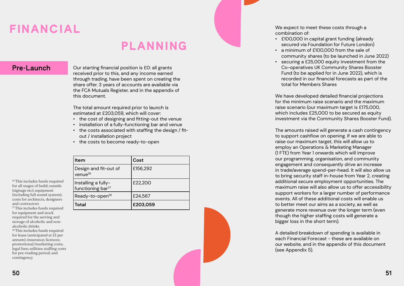# FINANCIAL

**Pre-Launch** Our starting financial position is £0: all grants received prior to this, and any income earned through trading, have been spent on creating the share offer. 3 years of accounts are available via the FCA Mutuals Register, and in the appendix of this document.

> The total amount required prior to launch is estimated at £203,059, which will cover:

26 This includes funds required for all stages of build; outside (signage etc); equipment (including full sound system); costs for architects, designers and contractors <sup>27</sup> This includes funds required

- the cost of designing and fitting-out the venue
- installation of a fully-functioning bar and venue
- the costs associated with staffing the design / fitout / installation project
- the costs to become ready-to-open

| Item                                                 | Cost     |
|------------------------------------------------------|----------|
| Design and fit-out of<br>venue $^{26}$               | £156,292 |
| Installing a fully-<br>functioning bar <sup>27</sup> | £22,200  |
| Ready-to-open <sup>28</sup>                          | £24,567  |
| <b>Total</b>                                         | £203,059 |

We have developed detailed financial projections for the minimum raise scenario and the maximum raise scenario (our maximum target is £175,000, which includes £25,000 to be secured as equity investment via the Community Shares Booster Fund).

for equipment and stock required for the serving and storage of alcoholic and nonalcoholic drinks

28 This includes funds required for lease (anticipated at £1 per annum); insurance; licences; promotional/marketing costs; legal fees; utilities; staffing costs for pre-trading period; and contingency

# PLANNING

We expect to meet these costs through a

combination of:

- 
- 
- 

• £100,000 in capital grant funding (already secured via Foundation for Future London) • a minimum of £100,000 from the sale of community shares (to be launched in June 2022) • securing a £25,000 equity investment from the Co-operatives UK Community Shares Booster Fund (to be applied for in June 2022), which is recorded in our financial forecasts as part of the total for Members Shares

The amounts raised will generate a cash contingency to support cashflow on opening. If we are able to raise our maximum target, this will allow us to employ an Operations & Marketing Manager (1 FTE) from Year 1 onwards which will improve our programming, organisation, and community engagement and consequently drive an increase in trade/average spend-per-head. It will also allow us to bring security staff in-house from Year 2, creating additional secure employment opportunities. The maximum raise will also allow us to offer accessibility support workers for a larger number of performance events. All of these additional costs will enable us to better meet our aims as a society, as well as generate more revenue over the longer term (even though the higher staffing costs will generate a bigger loss in the short term).

A detailed breakdown of spending is available in each Financial Forecast - these are available on our website, and in the appendix of this document (see Appendix 5).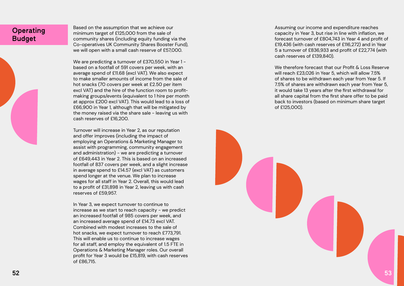# **Operating** Budget

Based on the assumption that we achieve our minimum target of £125,000 from the sale of community shares (including equity funding via the Co-operatives UK Community Shares Booster Fund), we will open with a small cash reserve of £57,000.

We are predicting a turnover of £370,550 in Year 1 based on a footfall of 591 covers per week, with an average spend of £11.68 (excl VAT). We also expect to make smaller amounts of income from the sale of hot snacks (70 covers per week at £2.50 per item excl VAT) and the hire of the function room to profitmaking groups/events (equivalent to 1 hire per month at approx £200 excl VAT). This would lead to a loss of £66,900 in Year 1, although that will be mitigated by the money raised via the share sale - leaving us with cash reserves of £16,200.

Turnover will increase in Year 2, as our reputation and offer improves (including the impact of employing an Operations & Marketing Manager to assist with programming, community engagement and administration) - we are predicting a turnover of £649,443 in Year 2. This is based on an increased footfall of 837 covers per week, and a slight increase in average spend to £14.57 (excl VAT) as customers spend longer at the venue. We plan to increase wages for all staff in Year 2. Overall, this would lead to a profit of £31,898 in Year 2, leaving us with cash reserves of £59,957.

We therefore forecast that our Profit & Loss Reserve will reach £23,026 in Year 5, which will allow 7.5% of shares to be withdrawn each year from Year 5. If 7.5% of shares are withdrawn each year from Year 5, it would take 13 years after the first withdrawal for all share capital from the first share offer to be paid back to investors (based on minimum share target of £125,000).



In Year 3, we expect turnover to continue to increase as we start to reach capacity - we predict an increased footfall of 985 covers per week, and an increased average spend of £14.73 excl VAT. Combined with modest increases to the sale of hot snacks, we expect turnover to reach £773,791. This will enable us to continue to increase wages for all staff, and employ the equivalent of 1.5 FTE in Operations & Marketing Manager roles. Our overall profit for Year 3 would be £15,819, with cash reserves of £86,715.

Assuming our income and expenditure reaches capacity in Year 3, but rise in line with inflation, we forecast turnover of £804,743 in Year 4 and profit of £19,436 (with cash reserves of £116,272) and in Year 5 a turnover of £836,933 and profit of £22,774 (with cash reserves of £139,840).

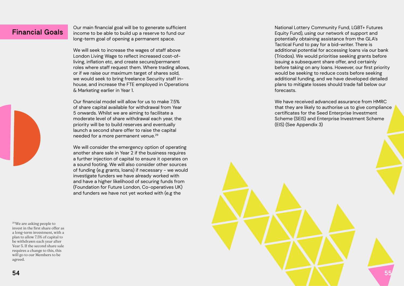Financial Goals | Our main financial goal will be to generate sufficient<br>Financial Goals | income to be able to build up a reserve to fund our long-term goal of opening a permanent space.

> Our financial model will allow for us to make 7.5% of share capital available for withdrawal from Year 5 onwards. Whilst we are aiming to facilitate a moderate level of share withdrawal each year, the priority will be to build reserves and eventually launch a second share offer to raise the capital needed for a more permanent venue.<sup>29</sup>

We will seek to increase the wages of staff above London Living Wage to reflect increased cost-ofliving, inflation etc, and create secure/permanent roles where staff request them. Where trading allows, or if we raise our maximum target of shares sold, we would seek to bring freelance Security staff inhouse, and increase the FTE employed in Operations & Marketing earlier in Year 1.

We will consider the emergency option of operating another share sale in Year 2 if the business requires a further injection of capital to ensure it operates on a sound footing. We will also consider other sources of funding (e.g grants, loans) if necessary - we would investigate funders we have already worked with and have a higher likelihood of securing funds from (Foundation for Future London, Co-operatives UK) and funders we have not yet worked with (e.g the

29 We are asking people to invest in the first share offer as a long-term investment, with a plan to allow 7.5% of capital to be withdrawn each year after Year 5. If the second share sale requires a change to this, this will go to our Members to be agreed.

National Lottery Community Fund, LGBT+ Futures Equity Fund), using our network of support and potentially obtaining assistance from the GLA's Tactical Fund to pay for a bid-writer. There is additional potential for accessing loans via our bank (Triodos). We would prioritise seeking grants before issuing a subsequent share offer, and certainly before taking on any loans. However, our first priority would be seeking to reduce costs before seeking additional funding, and we have developed detailed plans to mitigate losses should trade fall below our forecasts.

We have received advanced assurance from HMRC that they are likely to authorise us to give compliance certificates for the Seed Enterprise Investment Scheme (SEIS) and Enterprise Investment Scheme (EIS) (See Appendix 3)